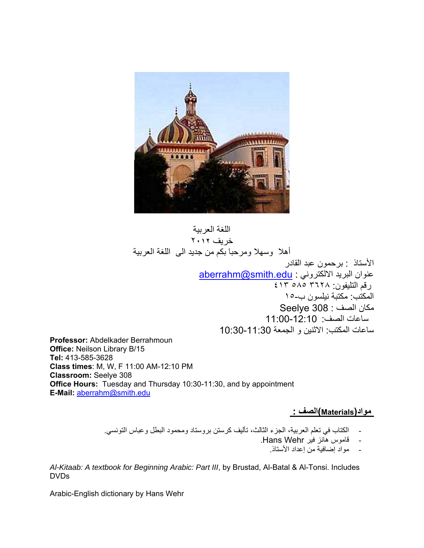

اللغة العربية خريف ٢٠**١٢** أهلا وسهلا ومرحبا بكم من جديد الى اللغة العربية الأستاذ : برحمون عبد القادر عنوان البريد الالكتروني : edu.smith@aberrahm رقم التليفون: ٣٦٢٨ ٥٨٥ ٤١٣ المكتب: مكتبة نيلسون ب١٥- مكان الصف : 308 Seelye ساعات الصف : 11:00-12:10 ساعات المكتب: الاثنين و الجمعة 10:30-11:30

**Professor:** Abdelkader Berrahmoun **Office:** Neilson Library B/15 **Tel:** 413-585-3628 **Class times**: M, W, F 11:00 AM-12:10 PM **Classroom:** Seelye 308 **Office Hours:** Tuesday and Thursday 10:30-11:30, and by appointment **E-Mail:** aberrahm@smith.edu

## **مواد(Materials(الصف :**

- الكتاب في تعلم العربية، الجزء الثالث، تأليف كرستن بروستاد ومحمود البطل وعباس التونسي.
	- قاموس هانز فير Wehr Hans.
		- مواد إضافية من إعداد الأستاذ.

*Al-Kitaab: A textbook for Beginning Arabic: Part III*, by Brustad, Al-Batal & Al-Tonsi. Includes DVDs

Arabic-English dictionary by Hans Wehr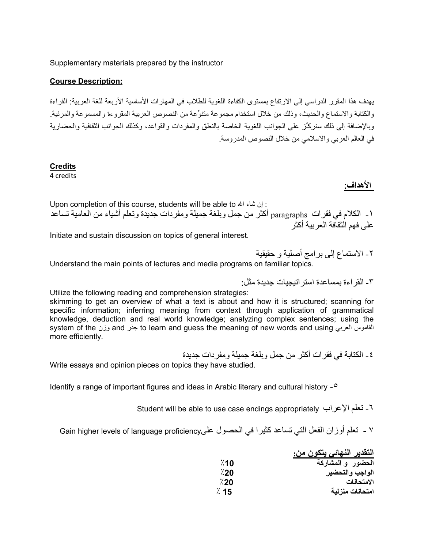Supplementary materials prepared by the instructor

#### **Course Description:**

يهدف هذا المقرر الدراسي إلى الارتفاع بمستوى الكفاءة اللغوية للطلاب في المهارات الأساسية الأربعة للغة العربية: القراءة والكتابة والاستماع والحديث، وذلك من خلال استخدام مجموعة متنوِّعة من النصوص العربية المقروءة والمسموعة والمرئية. وبالإضافة إلى ذلك سنر كِّز على الجوانب اللغوية الخاصة بالنطق والمفردات والقواعد، وكذلك الجوانب الثقافية والحضارية في العالم العربي والاسلامي من خلال النصوص المدروسة.

#### **Credits**

4 credits

 **الأهداف:**

Upon completion of this course, students will be able to ان شاء الله الله عنه الله بن الله عنه الله الله الله -١ الكلام في فقرات paragraphs أآثر من جمل وبلغة جميلة ومفردات جديدة وتعلم أشياء من العامية تساعد على فهم الثقافة العر بية أكثر

Initiate and sustain discussion on topics of general interest.

٢ الاستماع إلى برامج أصلية و حقيقية - Understand the main points of lectures and media programs on familiar topics.

-٣ القراءة بمساعدة استراتيجيات جديدة مثل:

Utilize the following reading and comprehension strategies:

skimming to get an overview of what a text is about and how it is structured; scanning for specific information; inferring meaning from context through application of grammatical knowledge, deduction and real world knowledge; analyzing complex sentences; using the system of the وزن and جذر to learn and guess the meaning of new words and using العربي القاموس more efficiently.

٤ - الكتابة في فقر ات أكثر ٍ من جمل و بلغة جميلة و مفر دات جديدة

Write essays and opinion pieces on topics they have studied.

Identify a range of important figures and ideas in Arabic literary and cultural history -٥

Student will be able to use case endings appropriately الإعراب تعلم -٦

٧ - تعلم أوزان الفعل التي تساعد كثيرا في الحصول علىfain higher levels of language proficiency الحصول

|           | التقدير النـهائـي يتكون من: |
|-----------|-----------------------------|
| $\chi$ 10 | الحضور و المشاركة           |
| $\%20$    | الواجب والتحضير             |
| 7.20      | الامتحانات                  |
| $\%$ 15   | امتحانات منزلية             |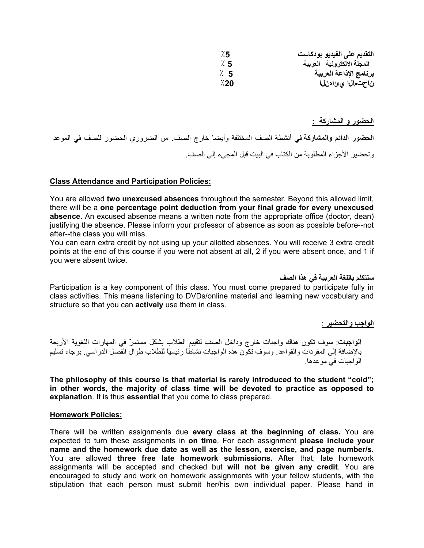| 75∴    | التقديم على الفيديو بودكاست |
|--------|-----------------------------|
| 7.5    | المجلة الالكترونية العربية  |
| 7. S   | برنامج الإذاعة العربية      |
| $\%20$ | ناحتمال اي ئاەنلا           |

**الحضور و المشارآة :**

**الحضور الدائم والمشارآة** في أنشطة الصف المختلفة وأيضا خارج الصف. من الضروري الحضور للصف في الموعد وتحضير الأجزاء المطلوبة من الكتاب في البيت قبل المجيء إلى الصف.

#### **Class Attendance and Participation Policies:**

You are allowed **two unexcused absences** throughout the semester. Beyond this allowed limit, there will be a **one percentage point deduction from your final grade for every unexcused absence.** An excused absence means a written note from the appropriate office (doctor, dean) justifying the absence. Please inform your professor of absence as soon as possible before--not after--the class you will miss.

You can earn extra credit by not using up your allotted absences. You will receive 3 extra credit points at the end of this course if you were not absent at all, 2 if you were absent once, and 1 if you were absent twice.

**سنتكلم باللغة العربية في هذا الصف**

Participation is a key component of this class. You must come prepared to participate fully in class activities. This means listening to DVDs/online material and learning new vocabulary and structure so that you can **actively** use them in class.

**الواجب والتحضير** :

**الواجبات**: سوف تكون هناك واجبات خارج وداخل الصف لتقييم الطلاب بشكل مستمرّ في المهارات اللغوية الأربعة بالإضافة إلى المفردات والقواعد. وسوف تكون هذه الواجبات نشاطاً رئيسياً للطلاب طوال الفصل الدراسي. برجاء تسليم الواجبات في موعدها.

**The philosophy of this course is that material is rarely introduced to the student "cold"; in other words, the majority of class time will be devoted to practice as opposed to explanation**. It is thus **essential** that you come to class prepared.

#### **Homework Policies:**

There will be written assignments due **every class at the beginning of class.** You are expected to turn these assignments in **on time**. For each assignment **please include your name and the homework due date as well as the lesson, exercise, and page number/s.** You are allowed **three free late homework submissions.** After that, late homework assignments will be accepted and checked but **will not be given any credit**. You are encouraged to study and work on homework assignments with your fellow students, with the stipulation that each person must submit her/his own individual paper. Please hand in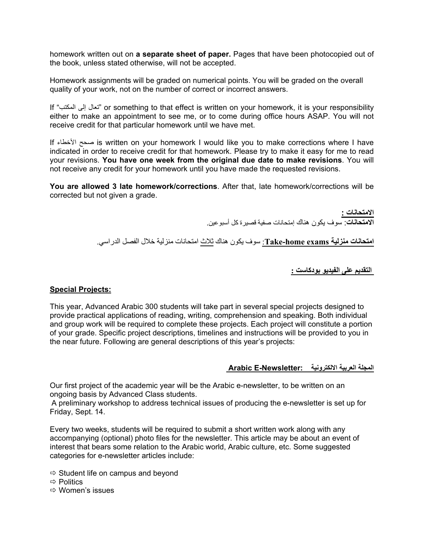homework written out on **a separate sheet of paper.** Pages that have been photocopied out of the book, unless stated otherwise, will not be accepted.

Homework assignments will be graded on numerical points. You will be graded on the overall quality of your work, not on the number of correct or incorrect answers.

If "المكتب إلى تعال "or something to that effect is written on your homework, it is your responsibility either to make an appointment to see me, or to come during office hours ASAP. You will not receive credit for that particular homework until we have met.

If الأخطاء صحح is written on your homework I would like you to make corrections where I have indicated in order to receive credit for that homework. Please try to make it easy for me to read your revisions. **You have one week from the original due date to make revisions**. You will not receive any credit for your homework until you have made the requested revisions.

**You are allowed 3 late homework/corrections**. After that, late homework/corrections will be corrected but not given a grade.

> **الامتحانات : الامتحانات**: سوف يكون هناك إمتحانات صفية قصيرة آل أسبوعين.

**امتحانات منزلية exams home-Take**: سوف يكون هناك ثلاث امتحانات منزلية خلال الفصل الدراسي.

 **التقديم على الفيديو بودآاست :**

## **Special Projects:**

This year, Advanced Arabic 300 students will take part in several special projects designed to provide practical applications of reading, writing, comprehension and speaking. Both individual and group work will be required to complete these projects. Each project will constitute a portion of your grade. Specific project descriptions, timelines and instructions will be provided to you in the near future. Following are general descriptions of this year's projects:

## **المجلة العربية الالكترونية :Newsletter-E Arabic**

Our first project of the academic year will be the Arabic e-newsletter, to be written on an ongoing basis by Advanced Class students.

A preliminary workshop to address technical issues of producing the e-newsletter is set up for Friday, Sept. 14.

Every two weeks, students will be required to submit a short written work along with any accompanying (optional) photo files for the newsletter. This article may be about an event of interest that bears some relation to the Arabic world, Arabic culture, etc. Some suggested categories for e-newsletter articles include:

- $\Rightarrow$  Student life on campus and beyond
- $\Rightarrow$  Politics
- $\Leftrightarrow$  Women's issues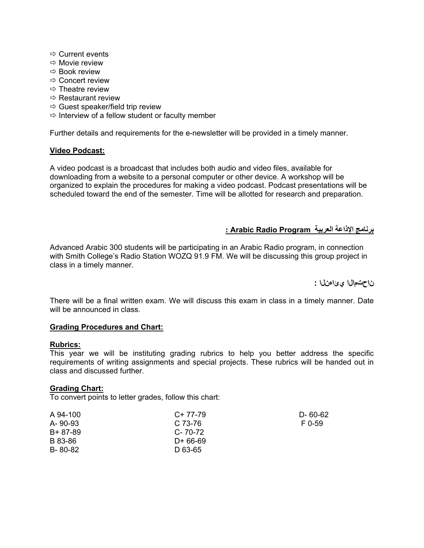- $\Rightarrow$  Current events
- $\Rightarrow$  Movie review
- $\Rightarrow$  Book review
- $\Rightarrow$  Concert review
- $\Rightarrow$  Theatre review
- $\Rightarrow$  Restaurant review
- $\Rightarrow$  Guest speaker/field trip review
- $\Rightarrow$  Interview of a fellow student or faculty member

Further details and requirements for the e-newsletter will be provided in a timely manner.

## **Video Podcast:**

A video podcast is a broadcast that includes both audio and video files, available for downloading from a website to a personal computer or other device. A workshop will be organized to explain the procedures for making a video podcast. Podcast presentations will be scheduled toward the end of the semester. Time will be allotted for research and preparation.

## **برنامج الإذاعة العربية Program Radio Arabic :**

Advanced Arabic 300 students will be participating in an Arabic Radio program, in connection with Smith College's Radio Station WOZQ 91.9 FM. We will be discussing this group project in class in a timely manner.

**ناحتمالا يئاهنلا :** 

There will be a final written exam. We will discuss this exam in class in a timely manner. Date will be announced in class.

## **Grading Procedures and Chart:**

## **Rubrics:**

This year we will be instituting grading rubrics to help you better address the specific requirements of writing assignments and special projects. These rubrics will be handed out in class and discussed further.

## **Grading Chart:**

To convert points to letter grades, follow this chart:

| A 94-100      | C+ 77-79      | D- 60-62 |
|---------------|---------------|----------|
| $A - 90 - 93$ | $C.73-76$     | F 0-59   |
| B+ 87-89      | $C - 70 - 72$ |          |
| B 83-86       | D+ 66-69      |          |
| B-80-82       | D 63-65       |          |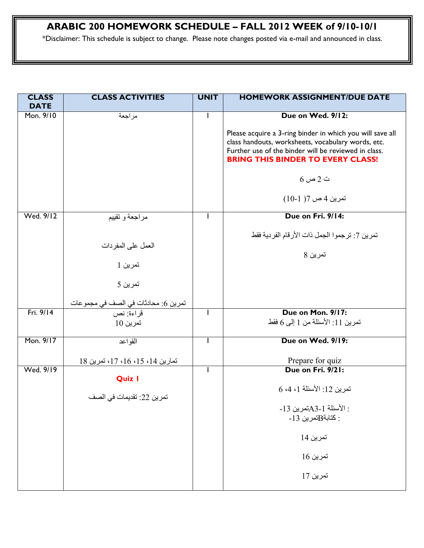# **ARABIC 200 HOMEWORK SCHEDULE – FALL 2012 WEEK of 9/10-10/1**

\*Disclaimer: This schedule is subject to change. Please note changes posted via e-mail and announced in class.

| <b>CLASS</b><br><b>DATE</b> | <b>CLASS ACTIVITIES</b>                          | <b>UNIT</b> | <b>HOMEWORK ASSIGNMENT/DUE DATE</b>                                                                                                                                                                                 |
|-----------------------------|--------------------------------------------------|-------------|---------------------------------------------------------------------------------------------------------------------------------------------------------------------------------------------------------------------|
| Mon. 9/10                   | مراجعة                                           |             | Due on Wed. 9/12:                                                                                                                                                                                                   |
|                             |                                                  |             | Please acquire a 3-ring binder in which you will save all<br>class handouts, worksheets, vocabulary words, etc.<br>Further use of the binder will be reviewed in class.<br><b>BRING THIS BINDER TO EVERY CLASS!</b> |
|                             |                                                  |             | $6 \cup 2$ ت                                                                                                                                                                                                        |
|                             |                                                  |             | تمرين 4 ص 7( 1-10)                                                                                                                                                                                                  |
| Wed. 9/12                   | مراجعة و تقييم                                   |             | Due on Fri. 9/14:                                                                                                                                                                                                   |
|                             | العمل على المفردات                               |             | تمرين 7: ترجموا الجمل ذات الأرقام الفردية فقط                                                                                                                                                                       |
|                             |                                                  |             | تمرين 8                                                                                                                                                                                                             |
|                             | تمرين 1                                          |             |                                                                                                                                                                                                                     |
|                             | تمرين 5                                          |             |                                                                                                                                                                                                                     |
|                             | تمرين 6: محادثات في الصف في مجموعات<br>قراءة: نص |             |                                                                                                                                                                                                                     |
| Fri. 9/14                   |                                                  | T           | Due on Mon. 9/17:                                                                                                                                                                                                   |
|                             | تمرين 10                                         |             | تمرين 11: الأسئلة من 1 إلى 6 فقط                                                                                                                                                                                    |
| Mon. 9/17                   | القو اعد                                         | -1          | Due on Wed. 9/19:                                                                                                                                                                                                   |
|                             | تمارين 14، 15، 16، 17، تمرين 18                  |             | Prepare for quiz                                                                                                                                                                                                    |
| Wed. 9/19                   | <b>Quiz I</b>                                    |             | Due on Fri. 9/21:                                                                                                                                                                                                   |
|                             |                                                  |             | تمرين 12: الأسئلة 1، 4، 6                                                                                                                                                                                           |
|                             | تمرين 22: تقديمات في الصف                        |             |                                                                                                                                                                                                                     |
|                             |                                                  |             | : الأسئلة 1-3Aتمرين 13-<br>$-13$ كتابة $B$ تمرين 13 $\,$                                                                                                                                                            |
|                             |                                                  |             | تمرين 14                                                                                                                                                                                                            |
|                             |                                                  |             | تمرين 16                                                                                                                                                                                                            |
|                             |                                                  |             | تمرين 17                                                                                                                                                                                                            |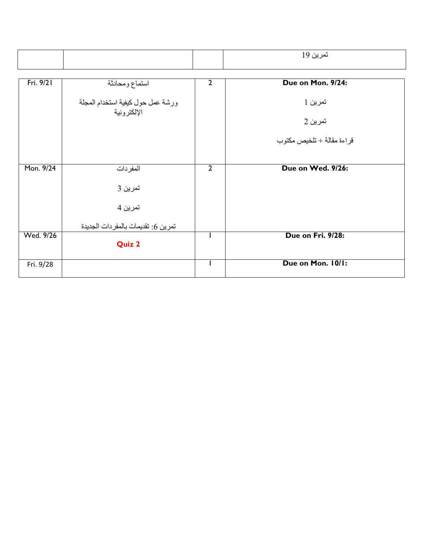|           |                                                   |                | تمرين 19                  |
|-----------|---------------------------------------------------|----------------|---------------------------|
| Fri. 9/21 | استماع ومحادثة                                    | 2              | Due on Mon. 9/24:         |
|           | ورشة عمل حول كيفية استخدام المجلة<br>الإلكتر ونية |                | تمرين 1                   |
|           |                                                   |                | تمرين 2                   |
|           |                                                   |                | قراءة مقالة + تلخيص مكتوب |
| Mon. 9/24 |                                                   | $\overline{2}$ | Due on Wed. 9/26:         |
|           | المفردات                                          |                |                           |
|           | تمرين 3                                           |                |                           |
|           | تمرين 4                                           |                |                           |
| Wed. 9/26 | تمرين 6: تقديمات بالمفردات الجديدة                |                | Due on Fri. 9/28:         |
|           | <b>Quiz 2</b>                                     |                |                           |
| Fri. 9/28 |                                                   |                | Due on Mon. 10/1:         |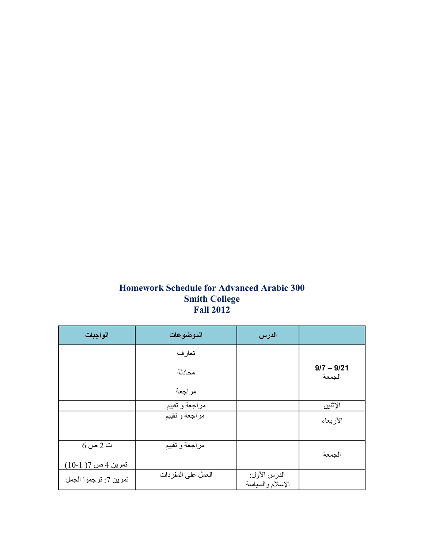## **Homework Schedule for Advanced Arabic 300 Smith College Fall 2012**

| الواجبات              | الموضوعات          | الدرس                            |                        |
|-----------------------|--------------------|----------------------------------|------------------------|
|                       | تعارف              |                                  |                        |
|                       | محادثة             |                                  | $9/7 - 9/21$<br>الجمعة |
|                       | مراجعة             |                                  |                        |
|                       | مراجعة و تقييم     |                                  | الإثنين                |
|                       | مراجعة و تقييم     |                                  | الأربعاء               |
|                       |                    |                                  |                        |
| $6\omega$ ت           | مراجعة و تقييم     |                                  | الجمعة                 |
| تمرين 4 ص 7( 1-10)    |                    |                                  |                        |
| تمرين 7: ترجموا الجمل | العمل على المفردات | الدرس الأول:<br>الإسلام والسياسة |                        |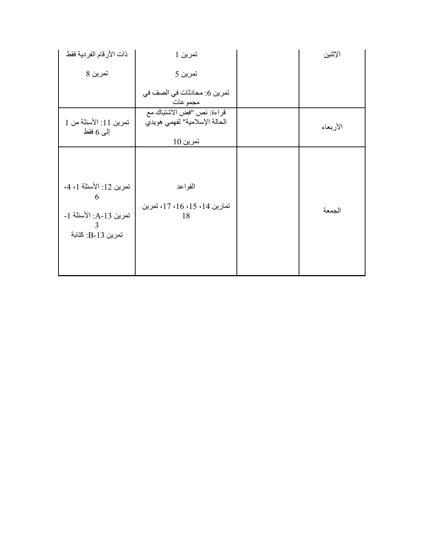| ذات الأرقام الفردية فقط                                                          | تمرين 1                                                                 | الإثنين  |
|----------------------------------------------------------------------------------|-------------------------------------------------------------------------|----------|
| تمرين 8                                                                          | تمرين 5                                                                 |          |
|                                                                                  | تمرين 6: محادثات في الصف في<br>مجمو عات                                 |          |
| تمرين 11: الأسئلة من 1<br>إلى 6 فقط                                              | قراءة: نص "فض الاشتباك مع<br>الحالة الإسلامية'' لفهمي هويدي<br>تمرين 10 | الأربعاء |
| تمرين 12: الأسئلة 1، 4،<br>6<br>تمرين A-13: الأسئلة 1-<br>3<br>تمرين B-13: كتابة | القواعد<br>تمارين 14، 15، 16، 17، تمرين<br>18                           | الجمعة   |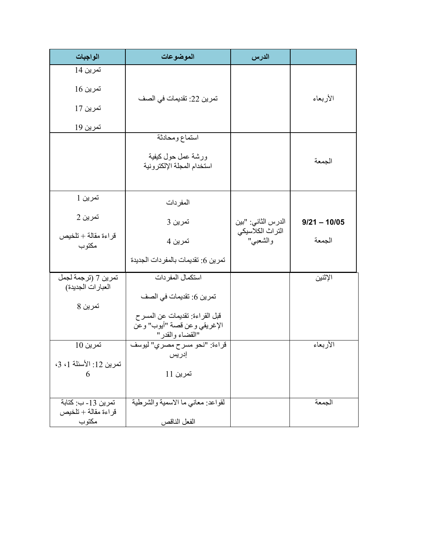| الواجبات                                  | الموضوعات                                        | الدرس                        |                |
|-------------------------------------------|--------------------------------------------------|------------------------------|----------------|
| تمرين 14                                  |                                                  |                              |                |
| تمرين 16                                  |                                                  |                              |                |
| تمرين 17                                  | تمرين 22: تقديمات في الصف                        |                              | الأربعاء       |
| <u>تمرين 19</u>                           |                                                  |                              |                |
|                                           | استماع ومحادثة                                   |                              |                |
|                                           | ورشة عمل حول كيفية<br>استخدام المجلة الإلكترونية |                              | الجمعة         |
|                                           |                                                  |                              |                |
| تمرين 1                                   | المفردات                                         |                              |                |
| تمرين 2                                   | تمرين 3                                          | الدرس الثاني: "بين           | $9/21 - 10/05$ |
| قراءة مقالة + تلخيص<br>مكتوب              | تمرين 4                                          | التراث الكلاسيكي<br>والشعبي" | الجمعة         |
|                                           | تمرين 6: تقديمات بالمفردات الجديدة               |                              |                |
| تمرين 7 (ترجمة لجمل<br>العبارات الجديدة)  | استكمال المفردات                                 |                              | الإثنين        |
| تمرين 8                                   | تمرين 6: تقديمات في الصف                         |                              |                |
|                                           | قبل القراءة: تقديمات عن المسر ح                  |                              |                |
|                                           | الإغريقي وعن قصة "أيوب" وعّن<br>"القضاء والقدر"  |                              |                |
| تمرين 10                                  | قراءة: "نحو مسرح مصري" ليوسف                     |                              | الأربعاء       |
| تمرين 12: الأسئلة 1، 3،                   | إدريس                                            |                              |                |
| 6                                         | تمرين 11                                         |                              |                |
|                                           |                                                  |                              |                |
| تمرين 13- ب: كتابة<br>قراءة مقالة + تلخيص | لقواعد: معانى ما الاسمية والشرطية                |                              | الجمعة         |
| مكتوب                                     | الفعل الناقص                                     |                              |                |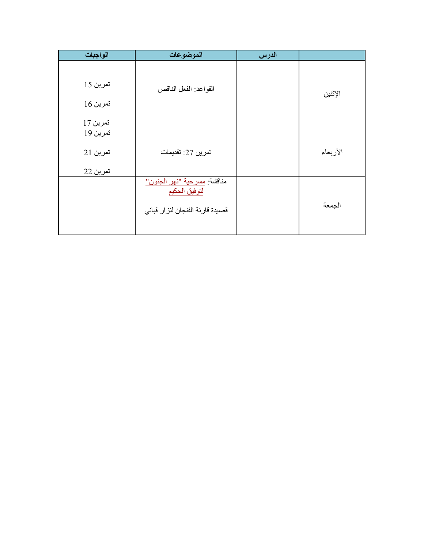| الواجبات | الموضوعات                                    | الدرس |          |
|----------|----------------------------------------------|-------|----------|
|          |                                              |       |          |
| تمرين 15 | القواعد: الفعل الناقص                        |       | الإثنين  |
| تمرين 16 |                                              |       |          |
| تمرين 17 |                                              |       |          |
| تمرين 19 |                                              |       |          |
| تمرين 21 | تمرين 27: تقديمات                            |       | الأربعاء |
| تمرين 22 |                                              |       |          |
|          | مناقشة: مسرحية "نهر الجنون"<br>لتوفيق الحكيم |       |          |
|          | قصيدة قارئة الفنجان لنزار قباني              |       | الجمعة   |
|          |                                              |       |          |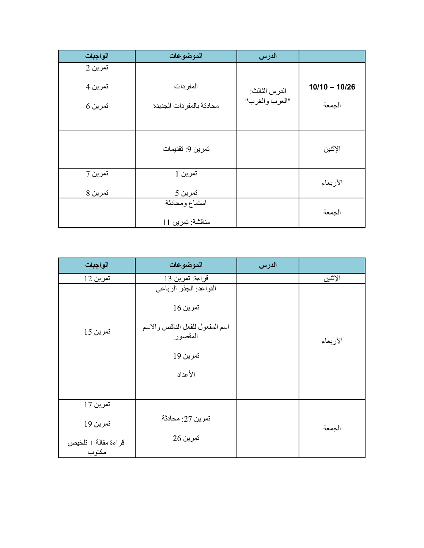| الواجبات | الموضوعات                          | الدرس          |                 |
|----------|------------------------------------|----------------|-----------------|
| تمرين 2  |                                    |                |                 |
| تمرين 4  | المفردات                           | الدرس الثالث:  | $10/10 - 10/26$ |
| تمرين 6  | محادثة بالمفردات الجديدة           | "العرب والغرب" | الجمعة          |
|          |                                    |                |                 |
|          | تمرين 9: تقديمات                   |                | الإثنين         |
| تمرين 7  | تمرين 1                            |                | الأربعاء        |
| تمرين 8  | تمرين 5                            |                |                 |
|          | استماع ومحادثة<br>مناقشة: تمرين 11 |                | الجمعة          |

| الواجبات            | الموضوعات                                                                                               | الدرس |          |
|---------------------|---------------------------------------------------------------------------------------------------------|-------|----------|
| تمرين 12            | قراءة: تمرين 13                                                                                         |       | الإثنين  |
| تمرين 15            | القواعد: الجذر الرباعي<br>تمرين 16<br>اسم المفعول للفعل الناقص والاسم<br>المقصور<br>تمرين 19<br>الأعداد |       | الأربعاء |
| تمرين 17            |                                                                                                         |       |          |
| تمرين 19            | تمرين 27: محادثة                                                                                        |       | الجمعة   |
| قراءة مقالة + تلخيص | تمرين 26                                                                                                |       |          |
| مكتوب               |                                                                                                         |       |          |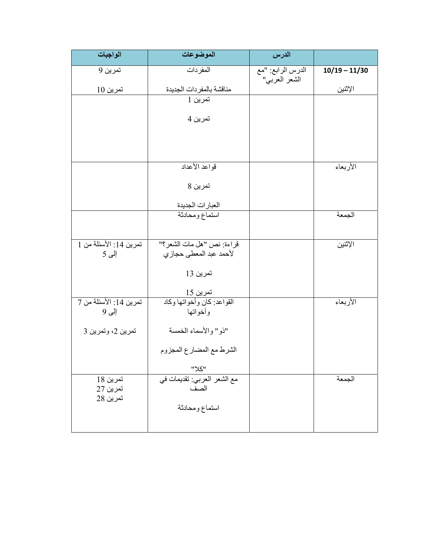| الواجبات                        | الموضوعات                                          | الدرس             |                 |
|---------------------------------|----------------------------------------------------|-------------------|-----------------|
| تمرين 9                         | المفردات                                           | الدرس الرابع: "مع | $10/19 - 11/30$ |
| تمرين 10                        | مناقشة بالمفردات الجديدة                           | الشعر العربي"     | الإثنين         |
|                                 | تمرين 1                                            |                   |                 |
|                                 | تمرين 4                                            |                   |                 |
|                                 |                                                    |                   |                 |
|                                 |                                                    |                   |                 |
|                                 | قواعد الأعداد                                      |                   | الأربعاء        |
|                                 | تمرين 8                                            |                   |                 |
|                                 |                                                    |                   |                 |
|                                 | العبارات الجديدة<br>استماع ومحادثة                 |                   | الجمعة          |
|                                 |                                                    |                   |                 |
| تمرين 14: الأسئلة من 1          | قراءة: نص "هل مات الشعر؟"                          |                   | الإثنين         |
| إلى 5                           | لأحمد عبد المعطى حجازي                             |                   |                 |
|                                 | تمرين 13                                           |                   |                 |
|                                 |                                                    |                   |                 |
| تمرين 14: الأسئلة من 7<br>إلى 9 | تمرين 15<br>القواعد: كان وأخواتها وكاد<br>وأخواتها |                   | الأربعاء        |
| تمرين 2، وتمرين 3               | "ذو" والأسماء الخمسة                               |                   |                 |
|                                 | الشرط مع المضارع المجزوم                           |                   |                 |
|                                 | "צע"                                               |                   |                 |
| تمرين 18<br>تمرين 27            | مع الشعر العربي: تقديمات في<br>الصف                |                   | الجمعة          |
| تمرين 28                        | استماع ومحادثة                                     |                   |                 |
|                                 |                                                    |                   |                 |